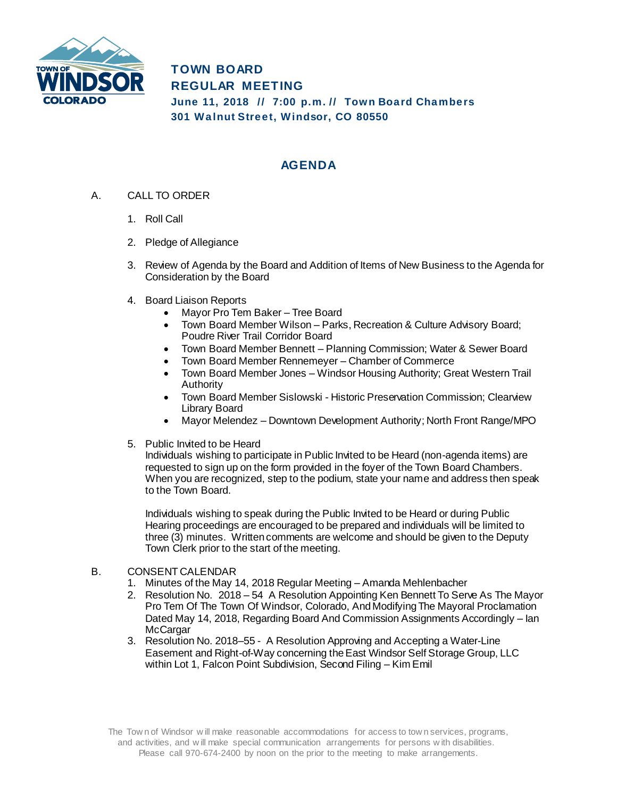

**TOWN BOARD REGULAR MEETING June 11, 2018 // 7:00 p.m. // Tow n Board Chambers 301 Walnut Street, Windsor, CO 80550**

## **AGENDA**

- A. CALL TO ORDER
	- 1. Roll Call
	- 2. Pledge of Allegiance
	- 3. Review of Agenda by the Board and Addition of Items of New Business to the Agenda for Consideration by the Board
	- 4. Board Liaison Reports
		- Mayor Pro Tem Baker Tree Board
		- Town Board Member Wilson Parks, Recreation & Culture Advisory Board; Poudre River Trail Corridor Board
		- Town Board Member Bennett Planning Commission; Water & Sewer Board
		- Town Board Member Rennemeyer Chamber of Commerce
		- Town Board Member Jones Windsor Housing Authority; Great Western Trail Authority
		- Town Board Member Sislowski Historic Preservation Commission; Clearview Library Board
		- Mayor Melendez Downtown Development Authority; North Front Range/MPO
	- 5. Public Invited to be Heard

Individuals wishing to participate in Public Invited to be Heard (non-agenda items) are requested to sign up on the form provided in the foyer of the Town Board Chambers. When you are recognized, step to the podium, state your name and address then speak to the Town Board.

Individuals wishing to speak during the Public Invited to be Heard or during Public Hearing proceedings are encouraged to be prepared and individuals will be limited to three (3) minutes. Written comments are welcome and should be given to the Deputy Town Clerk prior to the start of the meeting.

- B. CONSENT CALENDAR
	- 1. Minutes of the May 14, 2018 Regular Meeting Amanda Mehlenbacher
	- 2. Resolution No. 2018 54 A Resolution Appointing Ken Bennett To Serve As The Mayor Pro Tem Of The Town Of Windsor, Colorado, And Modifying The Mayoral Proclamation Dated May 14, 2018, Regarding Board And Commission Assignments Accordingly – Ian **McCargar**
	- 3. Resolution No. 2018–55 A Resolution Approving and Accepting a Water-Line Easement and Right-of-Way concerning the East Windsor Self Storage Group, LLC within Lot 1, Falcon Point Subdivision, Second Filing – Kim Emil

The Tow n of Windsor w ill make reasonable accommodations for access to tow n services, programs, and activities, and w ill make special communication arrangements for persons w ith disabilities. Please call 970-674-2400 by noon on the prior to the meeting to make arrangements.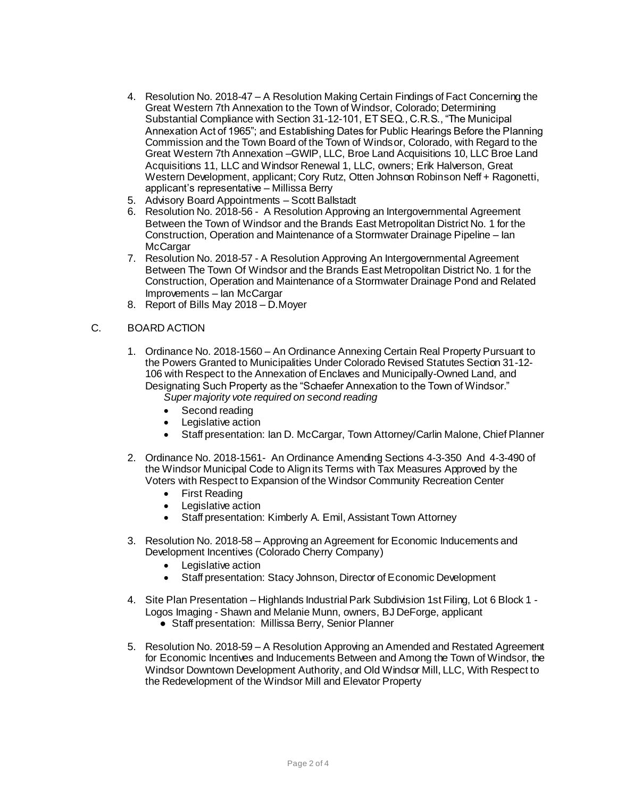- 4. Resolution No. 2018-47 A Resolution Making Certain Findings of Fact Concerning the Great Western 7th Annexation to the Town of Windsor, Colorado; Determining Substantial Compliance with Section 31-12-101, ET SEQ., C.R.S., "The Municipal Annexation Act of 1965"; and Establishing Dates for Public Hearings Before the Planning Commission and the Town Board of the Town of Windsor, Colorado, with Regard to the Great Western 7th Annexation –GWIP, LLC, Broe Land Acquisitions 10, LLC Broe Land Acquisitions 11, LLC and Windsor Renewal 1, LLC, owners; Erik Halverson, Great Western Development, applicant; Cory Rutz, Otten Johnson Robinson Neff + Ragonetti, applicant's representative – Millissa Berry
- 5. Advisory Board Appointments Scott Ballstadt
- 6. Resolution No. 2018-56 A Resolution Approving an Intergovernmental Agreement Between the Town of Windsor and the Brands East Metropolitan District No. 1 for the Construction, Operation and Maintenance of a Stormwater Drainage Pipeline – Ian **McCargar**
- 7. Resolution No. 2018-57 A Resolution Approving An Intergovernmental Agreement Between The Town Of Windsor and the Brands East Metropolitan District No. 1 for the Construction, Operation and Maintenance of a Stormwater Drainage Pond and Related Improvements – Ian McCargar
- 8. Report of Bills May 2018 D.Moyer
- C. BOARD ACTION
	- 1. Ordinance No. 2018-1560 An Ordinance Annexing Certain Real Property Pursuant to the Powers Granted to Municipalities Under Colorado Revised Statutes Section 31-12- 106 with Respect to the Annexation of Enclaves and Municipally-Owned Land, and Designating Such Property as the "Schaefer Annexation to the Town of Windsor."
		- *Super majority vote required on second reading*
		- Second reading
		- Legislative action
		- Staff presentation: Ian D. McCargar, Town Attorney/Carlin Malone, Chief Planner
	- 2. Ordinance No. 2018-1561- An Ordinance Amending Sections 4-3-350 And 4-3-490 of the Windsor Municipal Code to Align its Terms with Tax Measures Approved by the Voters with Respect to Expansion of the Windsor Community Recreation Center
		- First Reading
		- Legislative action
		- Staff presentation: Kimberly A. Emil, Assistant Town Attorney
	- 3. Resolution No. 2018-58 Approving an Agreement for Economic Inducements and Development Incentives (Colorado Cherry Company)
		- Legislative action
		- Staff presentation: Stacy Johnson, Director of Economic Development
	- 4. Site Plan Presentation Highlands Industrial Park Subdivision 1st Filing, Lot 6 Block 1 Logos Imaging - Shawn and Melanie Munn, owners, BJ DeForge, applicant
		- Staff presentation: Millissa Berry, Senior Planner
	- 5. Resolution No. 2018-59 A Resolution Approving an Amended and Restated Agreement for Economic Incentives and Inducements Between and Among the Town of Windsor, the Windsor Downtown Development Authority, and Old Windsor Mill, LLC, With Respect to the Redevelopment of the Windsor Mill and Elevator Property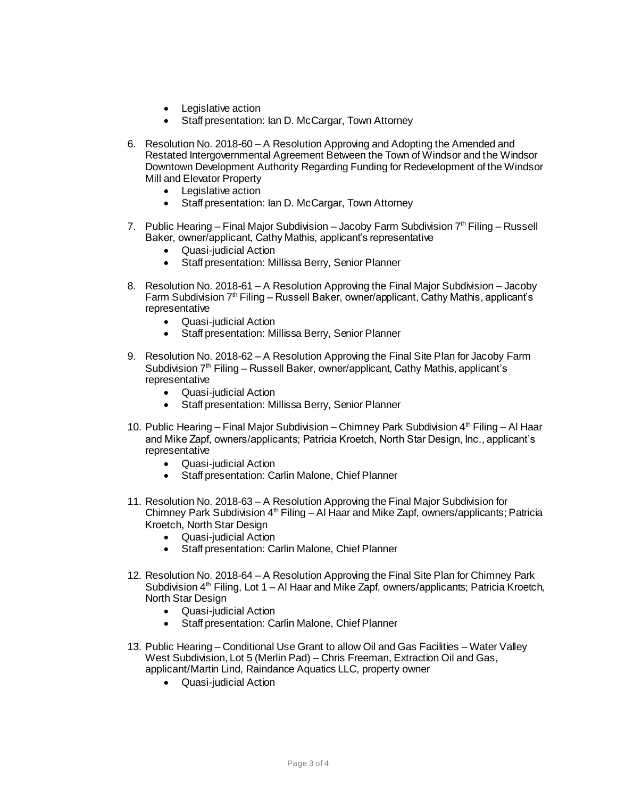- Legislative action
- Staff presentation: Ian D. McCargar, Town Attorney
- 6. Resolution No. 2018-60 A Resolution Approving and Adopting the Amended and Restated Intergovernmental Agreement Between the Town of Windsor and the Windsor Downtown Development Authority Regarding Funding for Redevelopment of the Windsor Mill and Elevator Property
	- Legislative action
	- Staff presentation: Ian D. McCargar, Town Attorney
- 7. Public Hearing Final Major Subdivision Jacoby Farm Subdivision  $7<sup>th</sup>$  Filing Russell Baker, owner/applicant, Cathy Mathis, applicant's representative
	- Quasi-judicial Action
	- Staff presentation: Millissa Berry, Senior Planner
- 8. Resolution No. 2018-61 A Resolution Approving the Final Major Subdivision Jacoby Farm Subdivision  $7<sup>th</sup>$  Filing – Russell Baker, owner/applicant, Cathy Mathis, applicant's representative
	- Quasi-judicial Action
	- Staff presentation: Millissa Berry, Senior Planner
- 9. Resolution No. 2018-62 A Resolution Approving the Final Site Plan for Jacoby Farm Subdivision 7<sup>th</sup> Filing – Russell Baker, owner/applicant, Cathy Mathis, applicant's representative
	- Quasi-judicial Action
	- Staff presentation: Millissa Berry, Senior Planner
- 10. Public Hearing Final Major Subdivision Chimney Park Subdivision  $4<sup>th</sup>$  Filing Al Haar and Mike Zapf, owners/applicants; Patricia Kroetch, North Star Design, Inc., applicant's representative
	- Quasi-judicial Action
	- Staff presentation: Carlin Malone, Chief Planner
- 11. Resolution No. 2018-63 A Resolution Approving the Final Major Subdivision for Chimney Park Subdivision  $4^{th}$  Filing – Al Haar and Mike Zapf, owners/applicants; Patricia Kroetch, North Star Design
	- Quasi-judicial Action
	- Staff presentation: Carlin Malone, Chief Planner
- 12. Resolution No. 2018-64 A Resolution Approving the Final Site Plan for Chimney Park Subdivision  $4<sup>th</sup>$  Filing, Lot 1 – Al Haar and Mike Zapf, owners/applicants; Patricia Kroetch, North Star Design
	- Quasi-judicial Action
	- Staff presentation: Carlin Malone, Chief Planner
- 13. Public Hearing Conditional Use Grant to allow Oil and Gas Facilities Water Valley West Subdivision, Lot 5 (Merlin Pad) – Chris Freeman, Extraction Oil and Gas, applicant/Martin Lind, Raindance Aquatics LLC, property owner
	- Quasi-judicial Action